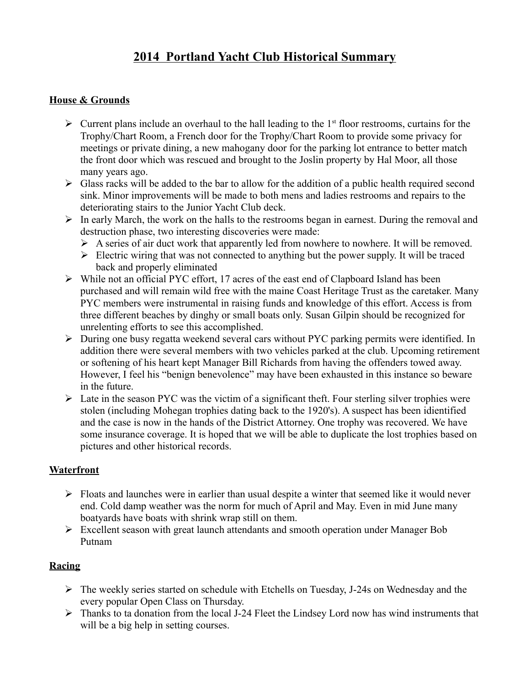# **2014 Portland Yacht Club Historical Summary**

## **House & Grounds**

- $\triangleright$  Current plans include an overhaul to the hall leading to the 1<sup>st</sup> floor restrooms, curtains for the Trophy/Chart Room, a French door for the Trophy/Chart Room to provide some privacy for meetings or private dining, a new mahogany door for the parking lot entrance to better match the front door which was rescued and brought to the Joslin property by Hal Moor, all those many years ago.
- $\triangleright$  Glass racks will be added to the bar to allow for the addition of a public health required second sink. Minor improvements will be made to both mens and ladies restrooms and repairs to the deteriorating stairs to the Junior Yacht Club deck.
- $\triangleright$  In early March, the work on the halls to the restrooms began in earnest. During the removal and destruction phase, two interesting discoveries were made:
	- $\triangleright$  A series of air duct work that apparently led from nowhere to nowhere. It will be removed.
	- $\triangleright$  Electric wiring that was not connected to anything but the power supply. It will be traced back and properly eliminated
- $\triangleright$  While not an official PYC effort, 17 acres of the east end of Clapboard Island has been purchased and will remain wild free with the maine Coast Heritage Trust as the caretaker. Many PYC members were instrumental in raising funds and knowledge of this effort. Access is from three different beaches by dinghy or small boats only. Susan Gilpin should be recognized for unrelenting efforts to see this accomplished.
- During one busy regatta weekend several cars without PYC parking permits were identified. In addition there were several members with two vehicles parked at the club. Upcoming retirement or softening of his heart kept Manager Bill Richards from having the offenders towed away. However, I feel his "benign benevolence" may have been exhausted in this instance so beware in the future.
- $\triangleright$  Late in the season PYC was the victim of a significant theft. Four sterling silver trophies were stolen (including Mohegan trophies dating back to the 1920's). A suspect has been idientified and the case is now in the hands of the District Attorney. One trophy was recovered. We have some insurance coverage. It is hoped that we will be able to duplicate the lost trophies based on pictures and other historical records.

#### **Waterfront**

- $\triangleright$  Floats and launches were in earlier than usual despite a winter that seemed like it would never end. Cold damp weather was the norm for much of April and May. Even in mid June many boatyards have boats with shrink wrap still on them.
- Excellent season with great launch attendants and smooth operation under Manager Bob Putnam

## **Racing**

- $\triangleright$  The weekly series started on schedule with Etchells on Tuesday, J-24s on Wednesday and the every popular Open Class on Thursday.
- $\triangleright$  Thanks to ta donation from the local J-24 Fleet the Lindsey Lord now has wind instruments that will be a big help in setting courses.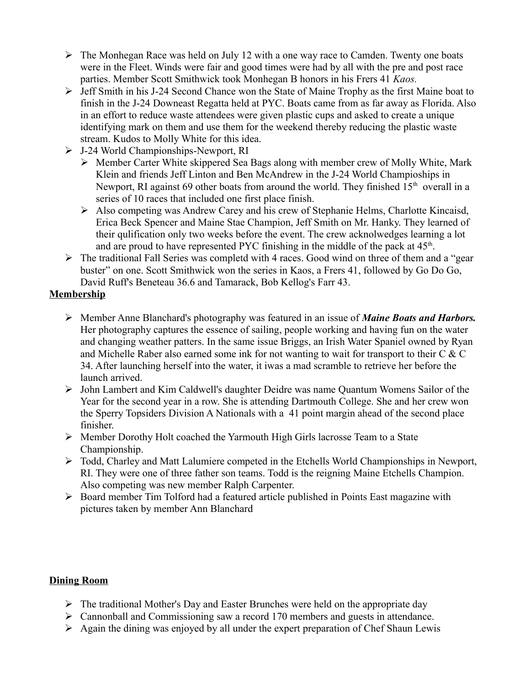- $\triangleright$  The Monhegan Race was held on July 12 with a one way race to Camden. Twenty one boats were in the Fleet. Winds were fair and good times were had by all with the pre and post race parties. Member Scott Smithwick took Monhegan B honors in his Frers 41 *Kaos.*
- $\triangleright$  Jeff Smith in his J-24 Second Chance won the State of Maine Trophy as the first Maine boat to finish in the J-24 Downeast Regatta held at PYC. Boats came from as far away as Florida. Also in an effort to reduce waste attendees were given plastic cups and asked to create a unique identifying mark on them and use them for the weekend thereby reducing the plastic waste stream. Kudos to Molly White for this idea.
- J-24 World Championships-Newport, RI
	- Member Carter White skippered Sea Bags along with member crew of Molly White, Mark Klein and friends Jeff Linton and Ben McAndrew in the J-24 World Champioships in Newport, RI against 69 other boats from around the world. They finished  $15<sup>th</sup>$  overall in a series of 10 races that included one first place finish.
	- Also competing was Andrew Carey and his crew of Stephanie Helms, Charlotte Kincaisd, Erica Beck Spencer and Maine Stae Champion, Jeff Smith on Mr. Hanky. They learned of their qulification only two weeks before the event. The crew acknolwedges learning a lot and are proud to have represented PYC finishing in the middle of the pack at  $45<sup>th</sup>$ .
- $\triangleright$  The traditional Fall Series was completd with 4 races. Good wind on three of them and a "gear" buster" on one. Scott Smithwick won the series in Kaos, a Frers 41, followed by Go Do Go, David Ruff's Beneteau 36.6 and Tamarack, Bob Kellog's Farr 43.

### **Membership**

- Member Anne Blanchard's photography was featured in an issue of *Maine Boats and Harbors.*  Her photography captures the essence of sailing, people working and having fun on the water and changing weather patters. In the same issue Briggs, an Irish Water Spaniel owned by Ryan and Michelle Raber also earned some ink for not wanting to wait for transport to their C & C 34. After launching herself into the water, it iwas a mad scramble to retrieve her before the launch arrived.
- John Lambert and Kim Caldwell's daughter Deidre was name Quantum Womens Sailor of the Year for the second year in a row. She is attending Dartmouth College. She and her crew won the Sperry Topsiders Division A Nationals with a 41 point margin ahead of the second place finisher.
- Member Dorothy Holt coached the Yarmouth High Girls lacrosse Team to a State Championship.
- Todd, Charley and Matt Lalumiere competed in the Etchells World Championships in Newport, RI. They were one of three father son teams. Todd is the reigning Maine Etchells Champion. Also competing was new member Ralph Carpenter.
- $\triangleright$  Board member Tim Tolford had a featured article published in Points East magazine with pictures taken by member Ann Blanchard

## **Dining Room**

- $\triangleright$  The traditional Mother's Day and Easter Brunches were held on the appropriate day
- Cannonball and Commissioning saw a record 170 members and guests in attendance.
- $\triangleright$  Again the dining was enjoyed by all under the expert preparation of Chef Shaun Lewis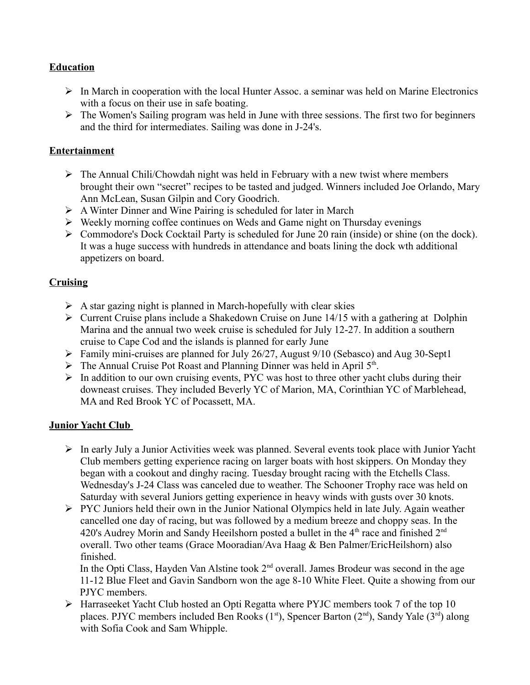#### **Education**

- $\triangleright$  In March in cooperation with the local Hunter Assoc. a seminar was held on Marine Electronics with a focus on their use in safe boating.
- $\triangleright$  The Women's Sailing program was held in June with three sessions. The first two for beginners and the third for intermediates. Sailing was done in J-24's.

#### **Entertainment**

- $\triangleright$  The Annual Chili/Chowdah night was held in February with a new twist where members brought their own "secret" recipes to be tasted and judged. Winners included Joe Orlando, Mary Ann McLean, Susan Gilpin and Cory Goodrich.
- $\triangleright$  A Winter Dinner and Wine Pairing is scheduled for later in March
- $\triangleright$  Weekly morning coffee continues on Weds and Game night on Thursday evenings
- $\triangleright$  Commodore's Dock Cocktail Party is scheduled for June 20 rain (inside) or shine (on the dock). It was a huge success with hundreds in attendance and boats lining the dock wth additional appetizers on board.

### **Cruising**

- $\triangleright$  A star gazing night is planned in March-hopefully with clear skies
- $\triangleright$  Current Cruise plans include a Shakedown Cruise on June 14/15 with a gathering at Dolphin Marina and the annual two week cruise is scheduled for July 12-27. In addition a southern cruise to Cape Cod and the islands is planned for early June
- Family mini-cruises are planned for July 26/27, August 9/10 (Sebasco) and Aug 30-Sept1
- $\triangleright$  The Annual Cruise Pot Roast and Planning Dinner was held in April 5<sup>th</sup>.
- $\triangleright$  In addition to our own cruising events, PYC was host to three other yacht clubs during their downeast cruises. They included Beverly YC of Marion, MA, Corinthian YC of Marblehead, MA and Red Brook YC of Pocassett, MA.

## **Junior Yacht Club**

- In early July a Junior Activities week was planned. Several events took place with Junior Yacht Club members getting experience racing on larger boats with host skippers. On Monday they began with a cookout and dinghy racing. Tuesday brought racing with the Etchells Class. Wednesday's J-24 Class was canceled due to weather. The Schooner Trophy race was held on Saturday with several Juniors getting experience in heavy winds with gusts over 30 knots.
- $\triangleright$  PYC Juniors held their own in the Junior National Olympics held in late July. Again weather cancelled one day of racing, but was followed by a medium breeze and choppy seas. In the 420's Audrey Morin and Sandy Heeilshorn posted a bullet in the  $4<sup>th</sup>$  race and finished  $2<sup>nd</sup>$ overall. Two other teams (Grace Mooradian/Ava Haag & Ben Palmer/EricHeilshorn) also finished.

In the Opti Class, Hayden Van Alstine took 2<sup>nd</sup> overall. James Brodeur was second in the age 11-12 Blue Fleet and Gavin Sandborn won the age 8-10 White Fleet. Quite a showing from our PJYC members.

 Harraseeket Yacht Club hosted an Opti Regatta where PYJC members took 7 of the top 10 places. PJYC members included Ben Rooks  $(1<sup>st</sup>)$ , Spencer Barton  $(2<sup>nd</sup>)$ , Sandy Yale  $(3<sup>rd</sup>)$  along with Sofia Cook and Sam Whipple.